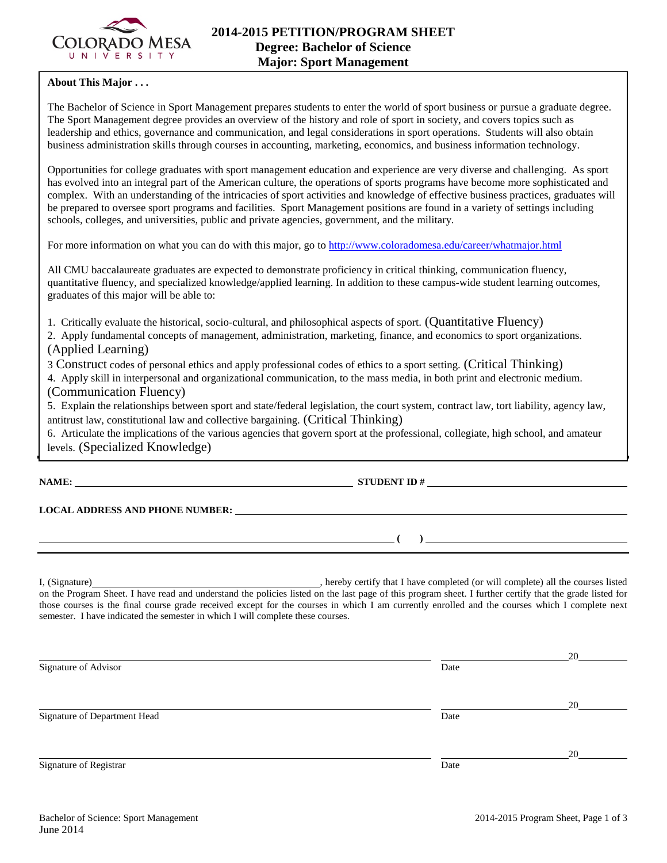

## **About This Major . . .**

The Bachelor of Science in Sport Management prepares students to enter the world of sport business or pursue a graduate degree. The Sport Management degree provides an overview of the history and role of sport in society, and covers topics such as leadership and ethics, governance and communication, and legal considerations in sport operations. Students will also obtain business administration skills through courses in accounting, marketing, economics, and business information technology.

Opportunities for college graduates with sport management education and experience are very diverse and challenging. As sport has evolved into an integral part of the American culture, the operations of sports programs have become more sophisticated and complex. With an understanding of the intricacies of sport activities and knowledge of effective business practices, graduates will be prepared to oversee sport programs and facilities. Sport Management positions are found in a variety of settings including schools, colleges, and universities, public and private agencies, government, and the military.

For more information on what you can do with this major, go to<http://www.coloradomesa.edu/career/whatmajor.html>

All CMU baccalaureate graduates are expected to demonstrate proficiency in critical thinking, communication fluency, quantitative fluency, and specialized knowledge/applied learning. In addition to these campus-wide student learning outcomes, graduates of this major will be able to:

1. Critically evaluate the historical, socio-cultural, and philosophical aspects of sport. (Quantitative Fluency)

2. Apply fundamental concepts of management, administration, marketing, finance, and economics to sport organizations. (Applied Learning)

3 Construct codes of personal ethics and apply professional codes of ethics to a sport setting. (Critical Thinking)

4. Apply skill in interpersonal and organizational communication, to the mass media, in both print and electronic medium. (Communication Fluency)

5. Explain the relationships between sport and state/federal legislation, the court system, contract law, tort liability, agency law, antitrust law, constitutional law and collective bargaining. (Critical Thinking)

6. Articulate the implications of the various agencies that govern sport at the professional, collegiate, high school, and amateur levels. (Specialized Knowledge)

**NAME: STUDENT ID # STUDENT ID # STUDENT ID # STUDENT ID # STUDENT ID # STUDENT ID # STUDENT ID # STUDENT ID # STUDENT ID # STUDENT ID # STUDENT ID # STUDENT ID # STUDENT ID # STUDENT ID # STU** 

**LOCAL ADDRESS AND PHONE NUMBER:**

 $( )$ 

I, (Signature) **Source 2008** (Signature) **, hereby certify that I have completed** (or will complete) all the courses listed on the Program Sheet. I have read and understand the policies listed on the last page of this program sheet. I further certify that the grade listed for those courses is the final course grade received except for the courses in which I am currently enrolled and the courses which I complete next semester. I have indicated the semester in which I will complete these courses.

|                              |      | 20 |
|------------------------------|------|----|
| Signature of Advisor         | Date |    |
|                              |      | 20 |
| Signature of Department Head | Date |    |
|                              |      | 20 |
| Signature of Registrar       | Date |    |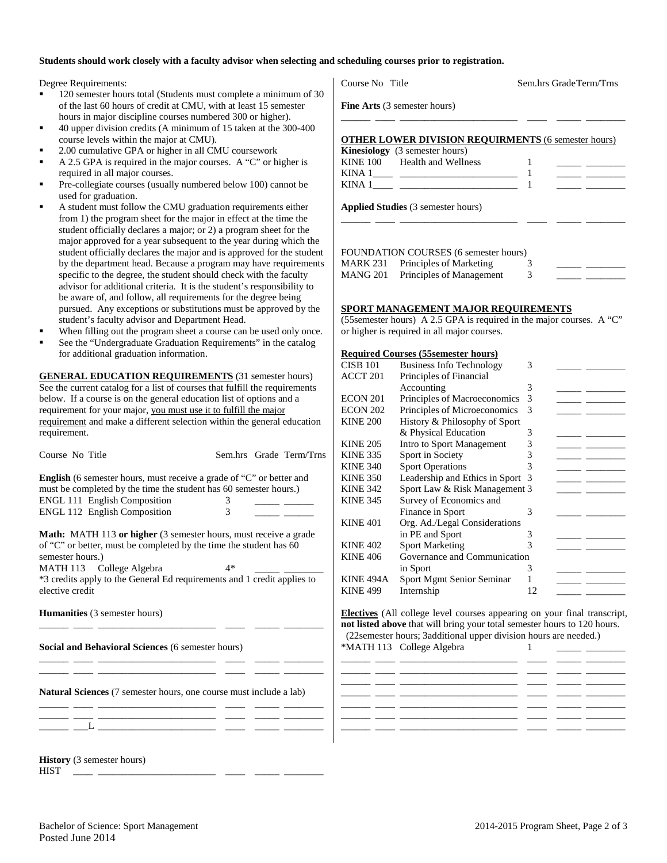#### **Students should work closely with a faculty advisor when selecting and scheduling courses prior to registration.**

Degree Requirements:

- 120 semester hours total (Students must complete a minimum of of the last 60 hours of credit at CMU, with at least 15 semester hours in major discipline courses numbered 300 or higher).
- 40 upper division credits (A minimum of 15 taken at the 300-400 course levels within the major at CMU).
- 2.00 cumulative GPA or higher in all CMU coursework
- A 2.5 GPA is required in the major courses. A "C" or higher is required in all major courses.
- Pre-collegiate courses (usually numbered below 100) cannot be used for graduation.
- A student must follow the CMU graduation requirements either from 1) the program sheet for the major in effect at the time the student officially declares a major; or 2) a program sheet for the major approved for a year subsequent to the year during which the student officially declares the major and is approved for the stude by the department head. Because a program may have requirements specific to the degree, the student should check with the faculty advisor for additional criteria. It is the student's responsibility to be aware of, and follow, all requirements for the degree being pursued. Any exceptions or substitutions must be approved by the student's faculty advisor and Department Head.
- When filling out the program sheet a course can be used only once.
- See the "Undergraduate Graduation Requirements" in the catalog for additional graduation information.

**GENERAL EDUCATION REQUIREMENTS** (31 semester hours) See the current catalog for a list of courses that fulfill the requirements below. If a course is on the general education list of options and a requirement for your major, you must use it to fulfill the major requirement and make a different selection within the general education requirement.

| Course No Title                                                                                                                                                                         |      | л<br>I<br>Sem.hrs Grade Term/Trns<br>I |
|-----------------------------------------------------------------------------------------------------------------------------------------------------------------------------------------|------|----------------------------------------|
| <b>English</b> (6 semester hours, must receive a grade of "C" or better and<br>must be completed by the time the student has 60 semester hours.)<br><b>ENGL 111 English Composition</b> | 3    | I<br>I                                 |
| <b>ENGL 112 English Composition</b>                                                                                                                                                     | 3    | I                                      |
| <b>Math:</b> MATH 113 or higher (3 semester hours, must receive a grade<br>of "C" or better, must be completed by the time the student has 60<br>semester hours.)                       |      | ŀ<br>ŀ                                 |
| MATH 113 College Algebra<br>*3 credits apply to the General Ed requirements and 1 credit applies to<br>elective credit                                                                  | $4*$ | I<br>I                                 |
| Humanities (3 semester hours)                                                                                                                                                           |      | ļ<br>ľ                                 |
| Social and Behavioral Sciences (6 semester hours)                                                                                                                                       |      | ź                                      |
| <b>Natural Sciences</b> (7 semester hours, one course must include a lab)                                                                                                               |      |                                        |
| the control of the control of the control of                                                                                                                                            |      |                                        |

**History** (3 semester hours) HIST \_\_\_\_ \_\_\_\_\_\_\_\_\_\_\_\_\_\_\_\_\_\_\_\_\_\_\_\_ \_\_\_\_ \_\_\_\_\_ \_\_\_\_\_\_\_\_

| Course No Title                           |                                                            |   | Sem.hrs GradeTerm/Trns                                      |
|-------------------------------------------|------------------------------------------------------------|---|-------------------------------------------------------------|
| <b>Fine Arts</b> (3 semester hours)       |                                                            |   |                                                             |
|                                           | <b>OTHER LOWER DIVISION REQUIRMENTS (6 semester hours)</b> |   |                                                             |
| <b>Kinesiology</b> (3 semester hours)     |                                                            |   |                                                             |
| KINE 100 Health and Wellness              |                                                            |   | the control of the control of the con-                      |
|                                           |                                                            |   | <u> 1989 - Andrea Station Books, amerikansk politiker (</u> |
|                                           |                                                            |   |                                                             |
| <b>Applied Studies</b> (3 semester hours) |                                                            |   |                                                             |
|                                           |                                                            |   |                                                             |
|                                           |                                                            |   |                                                             |
|                                           | <b>FOUNDATION COURSES (6 semester hours)</b>               |   |                                                             |
|                                           | MARK 231 Principles of Marketing                           | 3 |                                                             |
|                                           | MANG 201 Principles of Management                          | 3 |                                                             |

### **SPORT MANAGEMENT MAJOR REQUIREMENTS**

(55semester hours) A 2.5 GPA is required in the major courses. A "C" or higher is required in all major courses.

#### **Required Courses (55semester hours)**

| <b>CISB 101</b>  | <b>Business Info Technology</b> | 3  |  |
|------------------|---------------------------------|----|--|
| <b>ACCT 201</b>  | Principles of Financial         |    |  |
|                  | Accounting                      | 3  |  |
| ECON 201         | Principles of Macroeconomics    | 3  |  |
| ECON 202         | Principles of Microeconomics    | 3  |  |
| <b>KINE 200</b>  | History & Philosophy of Sport   |    |  |
|                  | & Physical Education            | 3  |  |
| <b>KINE 205</b>  | Intro to Sport Management       | 3  |  |
| <b>KINE 335</b>  | Sport in Society                | 3  |  |
| <b>KINE 340</b>  | <b>Sport Operations</b>         | 3  |  |
| <b>KINE 350</b>  | Leadership and Ethics in Sport  | -3 |  |
| <b>KINE 342</b>  | Sport Law & Risk Management 3   |    |  |
| <b>KINE 345</b>  | Survey of Economics and         |    |  |
|                  | Finance in Sport                | 3  |  |
| <b>KINE 401</b>  | Org. Ad./Legal Considerations   |    |  |
|                  | in PE and Sport                 | 3  |  |
| <b>KINE 402</b>  | <b>Sport Marketing</b>          | 3  |  |
| <b>KINE 406</b>  | Governance and Communication    |    |  |
|                  | in Sport                        | 3  |  |
| <b>KINE 494A</b> | Sport Mgmt Senior Seminar       |    |  |
| <b>KINE 499</b>  | Internship                      | 12 |  |
|                  |                                 |    |  |

**Electives** (All college level courses appearing on your final transcript, **not listed above** that will bring your total semester hours to 120 hours. (22semester hours; 3additional upper division hours are needed.) \*MATH 113 College Algebra 1